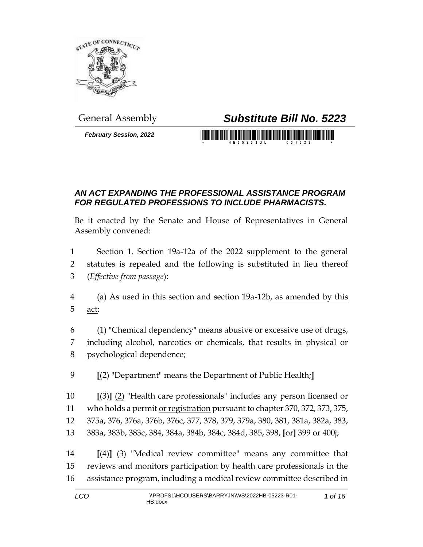

*February Session, 2022*

## General Assembly *Substitute Bill No. 5223*

<u> 1999 - Johann Maria Maria Maria Maria Maria Maria Maria Maria Maria Maria Maria Maria Maria Maria Maria Mari</u>

## *AN ACT EXPANDING THE PROFESSIONAL ASSISTANCE PROGRAM FOR REGULATED PROFESSIONS TO INCLUDE PHARMACISTS.*

Be it enacted by the Senate and House of Representatives in General Assembly convened:

 Section 1. Section 19a-12a of the 2022 supplement to the general statutes is repealed and the following is substituted in lieu thereof (*Effective from passage*):

 (a) As used in this section and section 19a-12b, as amended by this act:

 (1) "Chemical dependency" means abusive or excessive use of drugs, including alcohol, narcotics or chemicals, that results in physical or psychological dependence;

**[**(2) "Department" means the Department of Public Health;**]**

 **[**(3)**]** (2) "Health care professionals" includes any person licensed or 11 who holds a permit <u>or registration</u> pursuant to chapter 370, 372, 373, 375, 375a, 376, 376a, 376b, 376c, 377, 378, 379, 379a, 380, 381, 381a, 382a, 383, 383a, 383b, 383c, 384, 384a, 384b, 384c, 384d, 385, 398, **[**or**]** 399 or 400j;

 **[**(4)**]** (3) "Medical review committee" means any committee that reviews and monitors participation by health care professionals in the assistance program, including a medical review committee described in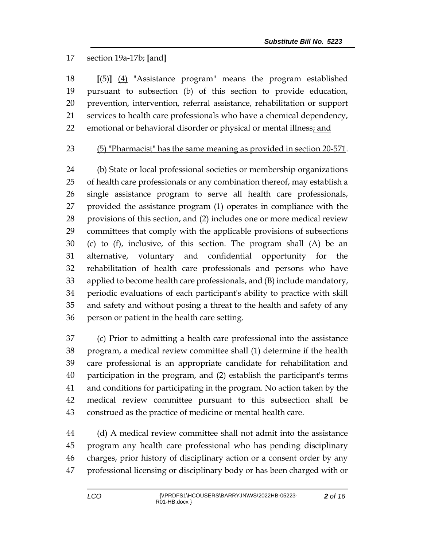## section 19a-17b; **[**and**]**

 **[**(5)**]** (4) "Assistance program" means the program established pursuant to subsection (b) of this section to provide education, prevention, intervention, referral assistance, rehabilitation or support services to health care professionals who have a chemical dependency, 22 emotional or behavioral disorder or physical or mental illness; and

## (5) "Pharmacist" has the same meaning as provided in section 20-571.

 (b) State or local professional societies or membership organizations of health care professionals or any combination thereof, may establish a single assistance program to serve all health care professionals, provided the assistance program (1) operates in compliance with the provisions of this section, and (2) includes one or more medical review committees that comply with the applicable provisions of subsections (c) to (f), inclusive, of this section. The program shall (A) be an alternative, voluntary and confidential opportunity for the rehabilitation of health care professionals and persons who have applied to become health care professionals, and (B) include mandatory, periodic evaluations of each participant's ability to practice with skill and safety and without posing a threat to the health and safety of any person or patient in the health care setting.

 (c) Prior to admitting a health care professional into the assistance program, a medical review committee shall (1) determine if the health care professional is an appropriate candidate for rehabilitation and participation in the program, and (2) establish the participant's terms and conditions for participating in the program. No action taken by the medical review committee pursuant to this subsection shall be construed as the practice of medicine or mental health care.

 (d) A medical review committee shall not admit into the assistance program any health care professional who has pending disciplinary charges, prior history of disciplinary action or a consent order by any professional licensing or disciplinary body or has been charged with or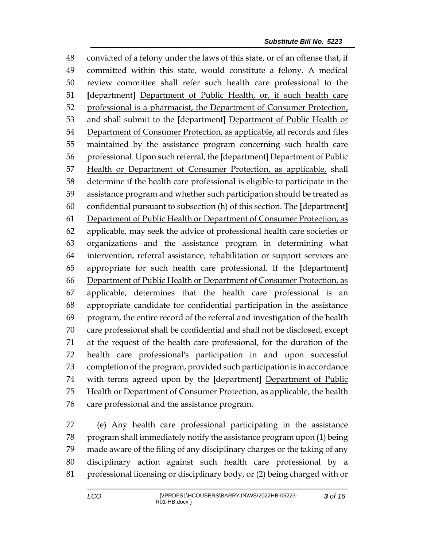convicted of a felony under the laws of this state, or of an offense that, if committed within this state, would constitute a felony. A medical review committee shall refer such health care professional to the **[**department**]** Department of Public Health, or, if such health care professional is a pharmacist, the Department of Consumer Protection, and shall submit to the **[**department**]** Department of Public Health or 54 Department of Consumer Protection, as applicable, all records and files maintained by the assistance program concerning such health care professional. Upon such referral, the **[**department**]** Department of Public Health or Department of Consumer Protection, as applicable, shall determine if the health care professional is eligible to participate in the assistance program and whether such participation should be treated as confidential pursuant to subsection (h) of this section. The **[**department**]** Department of Public Health or Department of Consumer Protection, as 62 applicable, may seek the advice of professional health care societies or organizations and the assistance program in determining what intervention, referral assistance, rehabilitation or support services are appropriate for such health care professional. If the **[**department**]** Department of Public Health or Department of Consumer Protection, as applicable, determines that the health care professional is an appropriate candidate for confidential participation in the assistance program, the entire record of the referral and investigation of the health care professional shall be confidential and shall not be disclosed, except at the request of the health care professional, for the duration of the health care professional's participation in and upon successful completion of the program, provided such participation is in accordance with terms agreed upon by the **[**department**]** Department of Public 75 Health or Department of Consumer Protection, as applicable, the health care professional and the assistance program.

 (e) Any health care professional participating in the assistance program shall immediately notify the assistance program upon (1) being made aware of the filing of any disciplinary charges or the taking of any disciplinary action against such health care professional by a professional licensing or disciplinary body, or (2) being charged with or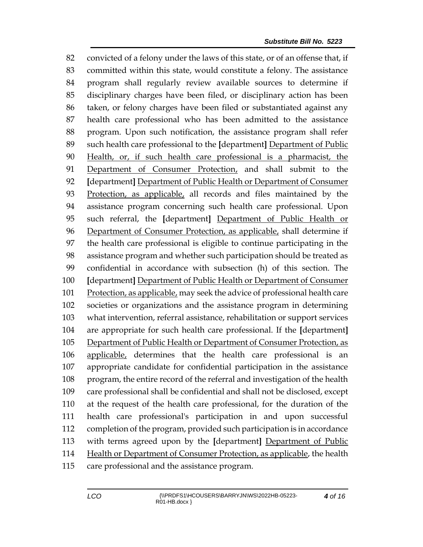convicted of a felony under the laws of this state, or of an offense that, if committed within this state, would constitute a felony. The assistance program shall regularly review available sources to determine if disciplinary charges have been filed, or disciplinary action has been taken, or felony charges have been filed or substantiated against any health care professional who has been admitted to the assistance program. Upon such notification, the assistance program shall refer such health care professional to the **[**department**]** Department of Public Health, or, if such health care professional is a pharmacist, the Department of Consumer Protection, and shall submit to the **[**department**]** Department of Public Health or Department of Consumer Protection, as applicable, all records and files maintained by the assistance program concerning such health care professional. Upon such referral, the **[**department**]** Department of Public Health or 96 Department of Consumer Protection, as applicable, shall determine if the health care professional is eligible to continue participating in the assistance program and whether such participation should be treated as confidential in accordance with subsection (h) of this section. The **[**department**]** Department of Public Health or Department of Consumer Protection, as applicable, may seek the advice of professional health care societies or organizations and the assistance program in determining what intervention, referral assistance, rehabilitation or support services are appropriate for such health care professional. If the **[**department**]** Department of Public Health or Department of Consumer Protection, as applicable, determines that the health care professional is an appropriate candidate for confidential participation in the assistance program, the entire record of the referral and investigation of the health care professional shall be confidential and shall not be disclosed, except at the request of the health care professional, for the duration of the health care professional's participation in and upon successful completion of the program, provided such participation is in accordance with terms agreed upon by the **[**department**]** Department of Public Health or Department of Consumer Protection, as applicable, the health care professional and the assistance program.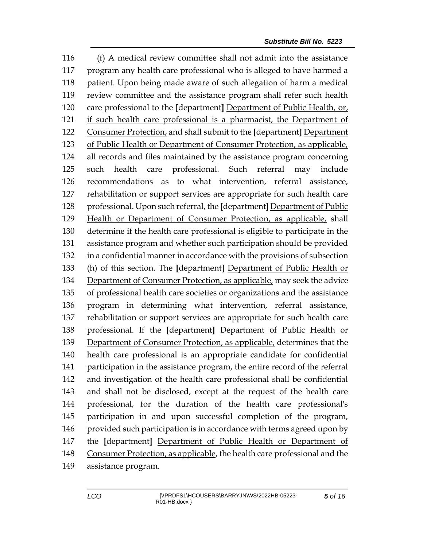(f) A medical review committee shall not admit into the assistance program any health care professional who is alleged to have harmed a patient. Upon being made aware of such allegation of harm a medical review committee and the assistance program shall refer such health care professional to the **[**department**]** Department of Public Health, or, if such health care professional is a pharmacist, the Department of Consumer Protection, and shall submit to the **[**department**]** Department of Public Health or Department of Consumer Protection, as applicable, all records and files maintained by the assistance program concerning such health care professional. Such referral may include recommendations as to what intervention, referral assistance, rehabilitation or support services are appropriate for such health care professional. Upon such referral, the **[**department**]** Department of Public Health or Department of Consumer Protection, as applicable, shall determine if the health care professional is eligible to participate in the assistance program and whether such participation should be provided in a confidential manner in accordance with the provisions of subsection (h) of this section. The **[**department**]** Department of Public Health or Department of Consumer Protection, as applicable, may seek the advice of professional health care societies or organizations and the assistance program in determining what intervention, referral assistance, rehabilitation or support services are appropriate for such health care professional. If the **[**department**]** Department of Public Health or Department of Consumer Protection, as applicable, determines that the health care professional is an appropriate candidate for confidential participation in the assistance program, the entire record of the referral and investigation of the health care professional shall be confidential and shall not be disclosed, except at the request of the health care professional, for the duration of the health care professional's participation in and upon successful completion of the program, 146 provided such participation is in accordance with terms agreed upon by the **[**department**]** Department of Public Health or Department of Consumer Protection, as applicable, the health care professional and the assistance program.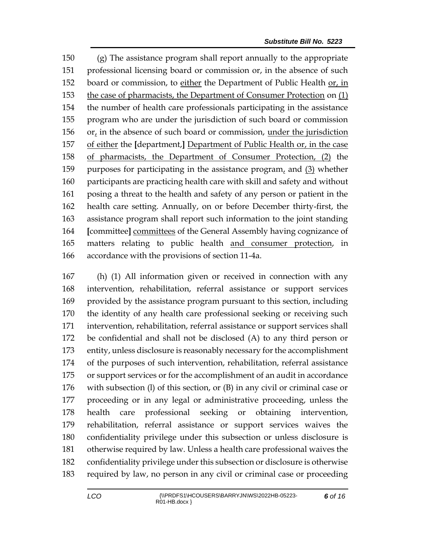(g) The assistance program shall report annually to the appropriate professional licensing board or commission or, in the absence of such board or commission, to either the Department of Public Health or, in the case of pharmacists, the Department of Consumer Protection on (1) the number of health care professionals participating in the assistance program who are under the jurisdiction of such board or commission 156 or, in the absence of such board or commission, under the jurisdiction of either the **[**department,**]** Department of Public Health or, in the case of pharmacists, the Department of Consumer Protection, (2) the purposes for participating in the assistance program, and (3) whether participants are practicing health care with skill and safety and without posing a threat to the health and safety of any person or patient in the health care setting. Annually, on or before December thirty-first, the assistance program shall report such information to the joint standing **[**committee**]** committees of the General Assembly having cognizance of matters relating to public health and consumer protection, in accordance with the provisions of section 11-4a.

 (h) (1) All information given or received in connection with any intervention, rehabilitation, referral assistance or support services provided by the assistance program pursuant to this section, including the identity of any health care professional seeking or receiving such intervention, rehabilitation, referral assistance or support services shall be confidential and shall not be disclosed (A) to any third person or entity, unless disclosure is reasonably necessary for the accomplishment of the purposes of such intervention, rehabilitation, referral assistance or support services or for the accomplishment of an audit in accordance with subsection (l) of this section, or (B) in any civil or criminal case or proceeding or in any legal or administrative proceeding, unless the health care professional seeking or obtaining intervention, rehabilitation, referral assistance or support services waives the confidentiality privilege under this subsection or unless disclosure is otherwise required by law. Unless a health care professional waives the confidentiality privilege under this subsection or disclosure is otherwise required by law, no person in any civil or criminal case or proceeding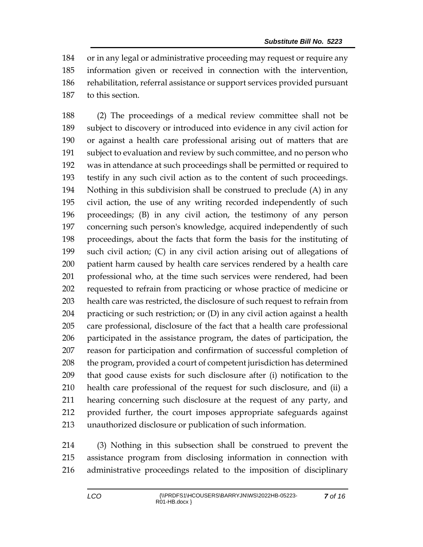or in any legal or administrative proceeding may request or require any information given or received in connection with the intervention, rehabilitation, referral assistance or support services provided pursuant to this section.

 (2) The proceedings of a medical review committee shall not be subject to discovery or introduced into evidence in any civil action for or against a health care professional arising out of matters that are subject to evaluation and review by such committee, and no person who was in attendance at such proceedings shall be permitted or required to testify in any such civil action as to the content of such proceedings. Nothing in this subdivision shall be construed to preclude (A) in any civil action, the use of any writing recorded independently of such proceedings; (B) in any civil action, the testimony of any person concerning such person's knowledge, acquired independently of such proceedings, about the facts that form the basis for the instituting of such civil action; (C) in any civil action arising out of allegations of patient harm caused by health care services rendered by a health care professional who, at the time such services were rendered, had been requested to refrain from practicing or whose practice of medicine or health care was restricted, the disclosure of such request to refrain from practicing or such restriction; or (D) in any civil action against a health care professional, disclosure of the fact that a health care professional participated in the assistance program, the dates of participation, the reason for participation and confirmation of successful completion of 208 the program, provided a court of competent jurisdiction has determined that good cause exists for such disclosure after (i) notification to the health care professional of the request for such disclosure, and (ii) a hearing concerning such disclosure at the request of any party, and provided further, the court imposes appropriate safeguards against unauthorized disclosure or publication of such information.

 (3) Nothing in this subsection shall be construed to prevent the assistance program from disclosing information in connection with administrative proceedings related to the imposition of disciplinary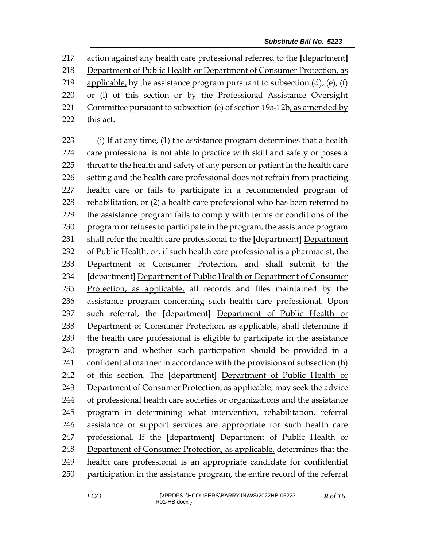action against any health care professional referred to the **[**department**]** Department of Public Health or Department of Consumer Protection, as 219 applicable, by the assistance program pursuant to subsection  $(d)$ ,  $(e)$ ,  $(f)$  or (i) of this section or by the Professional Assistance Oversight 221 Committee pursuant to subsection (e) of section  $19a-12b$ , as amended by 222 this act.

 (i) If at any time, (1) the assistance program determines that a health care professional is not able to practice with skill and safety or poses a threat to the health and safety of any person or patient in the health care setting and the health care professional does not refrain from practicing health care or fails to participate in a recommended program of rehabilitation, or (2) a health care professional who has been referred to the assistance program fails to comply with terms or conditions of the program or refuses to participate in the program, the assistance program shall refer the health care professional to the **[**department**]** Department of Public Health, or, if such health care professional is a pharmacist, the Department of Consumer Protection, and shall submit to the **[**department**]** Department of Public Health or Department of Consumer Protection, as applicable, all records and files maintained by the assistance program concerning such health care professional. Upon such referral, the **[**department**]** Department of Public Health or Department of Consumer Protection, as applicable, shall determine if the health care professional is eligible to participate in the assistance program and whether such participation should be provided in a confidential manner in accordance with the provisions of subsection (h) of this section. The **[**department**]** Department of Public Health or Department of Consumer Protection, as applicable, may seek the advice of professional health care societies or organizations and the assistance program in determining what intervention, rehabilitation, referral assistance or support services are appropriate for such health care professional. If the **[**department**]** Department of Public Health or Department of Consumer Protection, as applicable, determines that the health care professional is an appropriate candidate for confidential participation in the assistance program, the entire record of the referral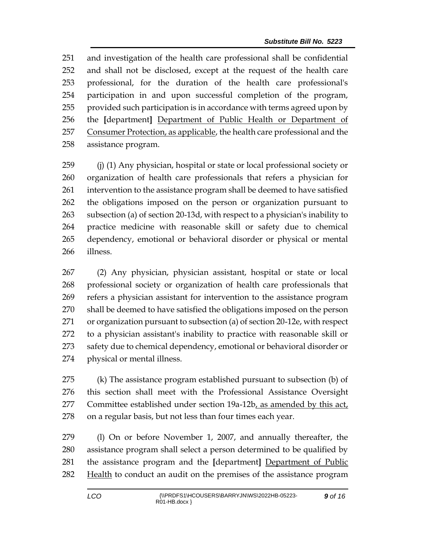and investigation of the health care professional shall be confidential and shall not be disclosed, except at the request of the health care professional, for the duration of the health care professional's participation in and upon successful completion of the program, provided such participation is in accordance with terms agreed upon by the **[**department**]** Department of Public Health or Department of 257 Consumer Protection, as applicable, the health care professional and the assistance program.

 (j) (1) Any physician, hospital or state or local professional society or organization of health care professionals that refers a physician for intervention to the assistance program shall be deemed to have satisfied the obligations imposed on the person or organization pursuant to subsection (a) of section 20-13d, with respect to a physician's inability to practice medicine with reasonable skill or safety due to chemical dependency, emotional or behavioral disorder or physical or mental illness.

 (2) Any physician, physician assistant, hospital or state or local professional society or organization of health care professionals that refers a physician assistant for intervention to the assistance program shall be deemed to have satisfied the obligations imposed on the person or organization pursuant to subsection (a) of section 20-12e, with respect to a physician assistant's inability to practice with reasonable skill or 273 safety due to chemical dependency, emotional or behavioral disorder or physical or mental illness.

 (k) The assistance program established pursuant to subsection (b) of this section shall meet with the Professional Assistance Oversight Committee established under section 19a-12b, as amended by this act, on a regular basis, but not less than four times each year.

 (l) On or before November 1, 2007, and annually thereafter, the assistance program shall select a person determined to be qualified by the assistance program and the **[**department**]** Department of Public 282 Health to conduct an audit on the premises of the assistance program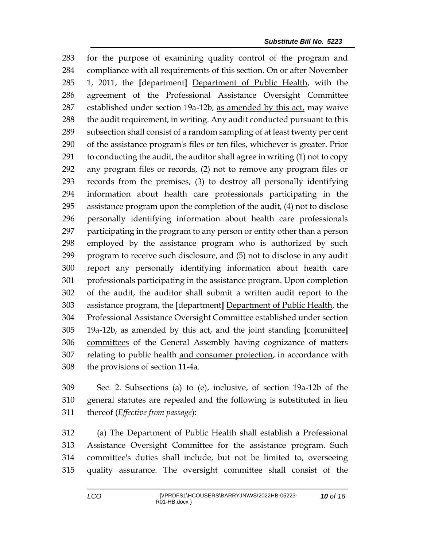for the purpose of examining quality control of the program and compliance with all requirements of this section. On or after November 1, 2011, the **[**department**]** Department of Public Health, with the agreement of the Professional Assistance Oversight Committee 287 established under section 19a-12b, as amended by this act, may waive 288 the audit requirement, in writing. Any audit conducted pursuant to this subsection shall consist of a random sampling of at least twenty per cent of the assistance program's files or ten files, whichever is greater. Prior to conducting the audit, the auditor shall agree in writing (1) not to copy any program files or records, (2) not to remove any program files or records from the premises, (3) to destroy all personally identifying information about health care professionals participating in the assistance program upon the completion of the audit, (4) not to disclose personally identifying information about health care professionals participating in the program to any person or entity other than a person employed by the assistance program who is authorized by such program to receive such disclosure, and (5) not to disclose in any audit report any personally identifying information about health care professionals participating in the assistance program. Upon completion of the audit, the auditor shall submit a written audit report to the assistance program, the **[**department**]** Department of Public Health, the Professional Assistance Oversight Committee established under section 19a-12b, as amended by this act, and the joint standing **[**committee**]** committees of the General Assembly having cognizance of matters relating to public health and consumer protection, in accordance with the provisions of section 11-4a.

 Sec. 2. Subsections (a) to (e), inclusive, of section 19a-12b of the general statutes are repealed and the following is substituted in lieu thereof (*Effective from passage*):

 (a) The Department of Public Health shall establish a Professional Assistance Oversight Committee for the assistance program. Such committee's duties shall include, but not be limited to, overseeing quality assurance. The oversight committee shall consist of the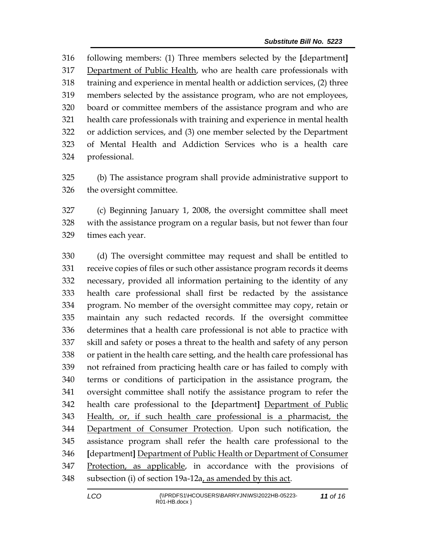following members: (1) Three members selected by the **[**department**]** Department of Public Health, who are health care professionals with training and experience in mental health or addiction services, (2) three members selected by the assistance program, who are not employees, board or committee members of the assistance program and who are health care professionals with training and experience in mental health or addiction services, and (3) one member selected by the Department of Mental Health and Addiction Services who is a health care professional.

 (b) The assistance program shall provide administrative support to the oversight committee.

 (c) Beginning January 1, 2008, the oversight committee shall meet with the assistance program on a regular basis, but not fewer than four times each year.

 (d) The oversight committee may request and shall be entitled to receive copies of files or such other assistance program records it deems necessary, provided all information pertaining to the identity of any health care professional shall first be redacted by the assistance program. No member of the oversight committee may copy, retain or maintain any such redacted records. If the oversight committee determines that a health care professional is not able to practice with skill and safety or poses a threat to the health and safety of any person or patient in the health care setting, and the health care professional has not refrained from practicing health care or has failed to comply with terms or conditions of participation in the assistance program, the oversight committee shall notify the assistance program to refer the health care professional to the **[**department**]** Department of Public Health, or, if such health care professional is a pharmacist, the Department of Consumer Protection. Upon such notification, the assistance program shall refer the health care professional to the **[**department**]** Department of Public Health or Department of Consumer Protection, as applicable, in accordance with the provisions of subsection (i) of section 19a-12a, as amended by this act.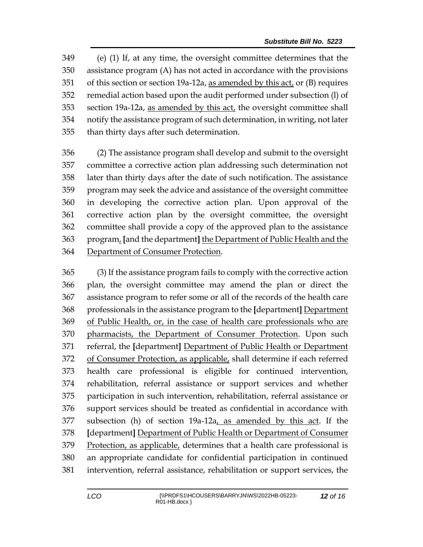(e) (1) If, at any time, the oversight committee determines that the assistance program (A) has not acted in accordance with the provisions of this section or section 19a-12a, as amended by this act, or (B) requires remedial action based upon the audit performed under subsection (l) of section 19a-12a, as amended by this act, the oversight committee shall notify the assistance program of such determination, in writing, not later than thirty days after such determination.

 (2) The assistance program shall develop and submit to the oversight committee a corrective action plan addressing such determination not later than thirty days after the date of such notification. The assistance program may seek the advice and assistance of the oversight committee in developing the corrective action plan. Upon approval of the corrective action plan by the oversight committee, the oversight committee shall provide a copy of the approved plan to the assistance program, **[**and the department**]** the Department of Public Health and the Department of Consumer Protection.

 (3) If the assistance program fails to comply with the corrective action plan, the oversight committee may amend the plan or direct the assistance program to refer some or all of the records of the health care professionals in the assistance program to the **[**department**]** Department of Public Health, or, in the case of health care professionals who are pharmacists, the Department of Consumer Protection. Upon such referral, the **[**department**]** Department of Public Health or Department of Consumer Protection, as applicable, shall determine if each referred health care professional is eligible for continued intervention, rehabilitation, referral assistance or support services and whether participation in such intervention, rehabilitation, referral assistance or support services should be treated as confidential in accordance with subsection (h) of section 19a-12a, as amended by this act. If the **[**department**]** Department of Public Health or Department of Consumer Protection, as applicable, determines that a health care professional is an appropriate candidate for confidential participation in continued intervention, referral assistance, rehabilitation or support services, the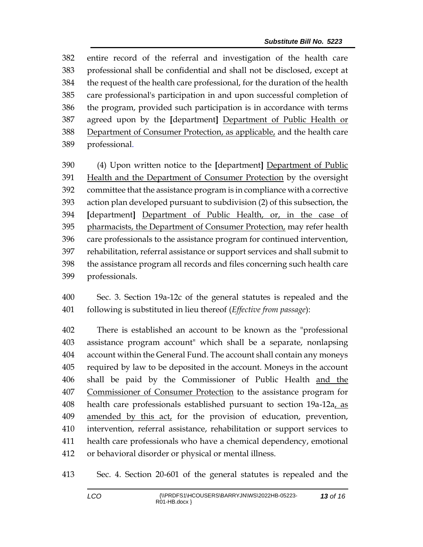entire record of the referral and investigation of the health care professional shall be confidential and shall not be disclosed, except at the request of the health care professional, for the duration of the health care professional's participation in and upon successful completion of the program, provided such participation is in accordance with terms agreed upon by the **[**department**]** Department of Public Health or 388 Department of Consumer Protection, as applicable, and the health care professional.

 (4) Upon written notice to the **[**department**]** Department of Public 391 Health and the Department of Consumer Protection by the oversight committee that the assistance program is in compliance with a corrective action plan developed pursuant to subdivision (2) of this subsection, the **[**department**]** Department of Public Health, or, in the case of 395 pharmacists, the Department of Consumer Protection, may refer health care professionals to the assistance program for continued intervention, rehabilitation, referral assistance or support services and shall submit to the assistance program all records and files concerning such health care professionals.

 Sec. 3. Section 19a-12c of the general statutes is repealed and the following is substituted in lieu thereof (*Effective from passage*):

 There is established an account to be known as the "professional assistance program account" which shall be a separate, nonlapsing account within the General Fund. The account shall contain any moneys required by law to be deposited in the account. Moneys in the account shall be paid by the Commissioner of Public Health and the Commissioner of Consumer Protection to the assistance program for health care professionals established pursuant to section 19a-12a, as amended by this act, for the provision of education, prevention, intervention, referral assistance, rehabilitation or support services to health care professionals who have a chemical dependency, emotional or behavioral disorder or physical or mental illness.

Sec. 4. Section 20-601 of the general statutes is repealed and the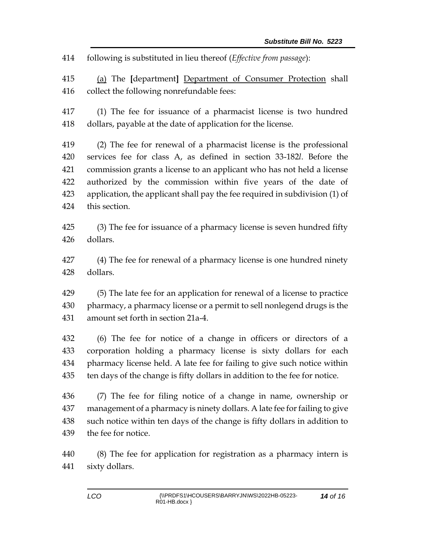following is substituted in lieu thereof (*Effective from passage*):

 (a) The **[**department**]** Department of Consumer Protection shall collect the following nonrefundable fees:

 (1) The fee for issuance of a pharmacist license is two hundred dollars, payable at the date of application for the license.

 (2) The fee for renewal of a pharmacist license is the professional services fee for class A, as defined in section 33-182*l*. Before the commission grants a license to an applicant who has not held a license authorized by the commission within five years of the date of application, the applicant shall pay the fee required in subdivision (1) of this section.

 (3) The fee for issuance of a pharmacy license is seven hundred fifty dollars.

 (4) The fee for renewal of a pharmacy license is one hundred ninety dollars.

 (5) The late fee for an application for renewal of a license to practice pharmacy, a pharmacy license or a permit to sell nonlegend drugs is the amount set forth in section 21a-4.

 (6) The fee for notice of a change in officers or directors of a corporation holding a pharmacy license is sixty dollars for each pharmacy license held. A late fee for failing to give such notice within ten days of the change is fifty dollars in addition to the fee for notice.

 (7) The fee for filing notice of a change in name, ownership or management of a pharmacy is ninety dollars. A late fee for failing to give such notice within ten days of the change is fifty dollars in addition to the fee for notice.

 (8) The fee for application for registration as a pharmacy intern is sixty dollars.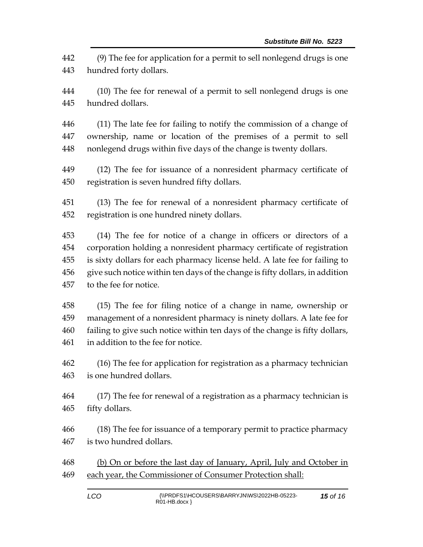(9) The fee for application for a permit to sell nonlegend drugs is one hundred forty dollars.

 (10) The fee for renewal of a permit to sell nonlegend drugs is one hundred dollars.

 (11) The late fee for failing to notify the commission of a change of ownership, name or location of the premises of a permit to sell nonlegend drugs within five days of the change is twenty dollars.

 (12) The fee for issuance of a nonresident pharmacy certificate of registration is seven hundred fifty dollars.

 (13) The fee for renewal of a nonresident pharmacy certificate of registration is one hundred ninety dollars.

 (14) The fee for notice of a change in officers or directors of a corporation holding a nonresident pharmacy certificate of registration is sixty dollars for each pharmacy license held. A late fee for failing to give such notice within ten days of the change is fifty dollars, in addition to the fee for notice.

 (15) The fee for filing notice of a change in name, ownership or management of a nonresident pharmacy is ninety dollars. A late fee for failing to give such notice within ten days of the change is fifty dollars, in addition to the fee for notice.

 (16) The fee for application for registration as a pharmacy technician is one hundred dollars.

 (17) The fee for renewal of a registration as a pharmacy technician is fifty dollars.

 (18) The fee for issuance of a temporary permit to practice pharmacy is two hundred dollars.

468 (b) On or before the last day of January, April, July and October in 469 each year, the Commissioner of Consumer Protection shall: